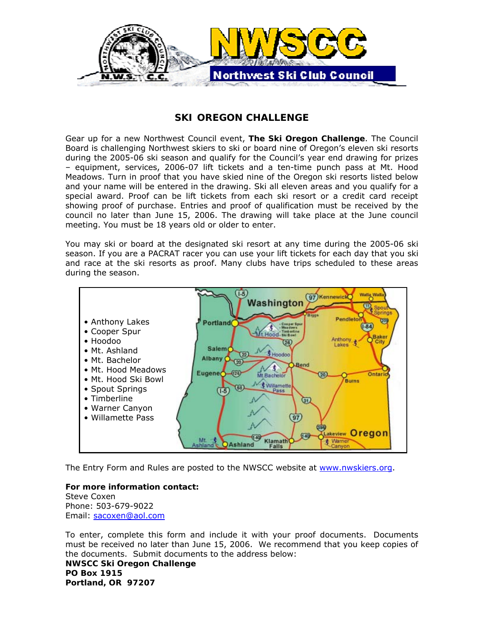

## *SKI OREGON CHALLENGE*

Gear up for a new Northwest Council event, **The Ski Oregon Challenge**. The Council Board is challenging Northwest skiers to ski or board nine of Oregon's eleven ski resorts during the 2005-06 ski season and qualify for the Council's year end drawing for prizes – equipment, services, 2006-07 lift tickets and a ten-time punch pass at Mt. Hood Meadows. Turn in proof that you have skied nine of the Oregon ski resorts listed below and your name will be entered in the drawing. Ski all eleven areas and you qualify for a special award. Proof can be lift tickets from each ski resort or a credit card receipt showing proof of purchase. Entries and proof of qualification must be received by the council no later than June 15, 2006. The drawing will take place at the June council meeting. You must be 18 years old or older to enter.

You may ski or board at the designated ski resort at any time during the 2005-06 ski season. If you are a PACRAT racer you can use your lift tickets for each day that you ski and race at the ski resorts as proof. Many clubs have trips scheduled to these areas during the season.



The Entry Form and Rules are posted to the NWSCC website at www.nwskiers.org.

**For more information contact:**  Steve Coxen Phone: 503-679-9022 Email: sacoxen@aol.com

To enter, complete this form and include it with your proof documents. Documents must be received no later than June 15, 2006. We recommend that you keep copies of the documents. Submit documents to the address below: **NWSCC Ski Oregon Challenge PO Box 1915 Portland, OR 97207**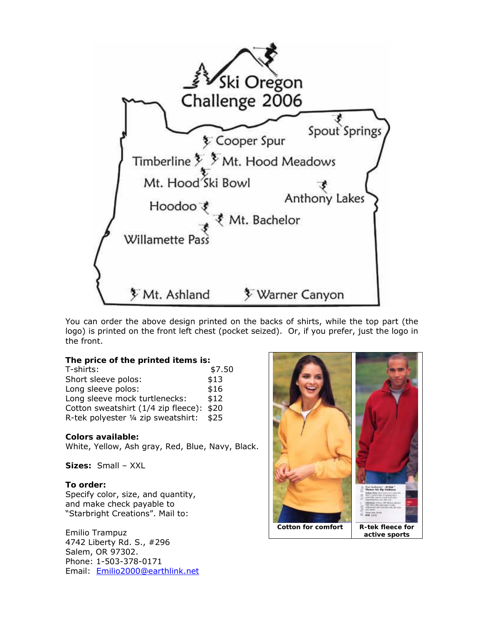

You can order the above design printed on the backs of shirts, while the top part (the logo) is printed on the front left chest (pocket seized). Or, if you prefer, just the logo in the front.

**The price of the printed items is:**  T-shirts: \$7.50 Short sleeve polos:  $$13$ Long sleeve polos:  $$16$ Long sleeve mock turtlenecks: \$12 Cotton sweatshirt (1/4 zip fleece): \$20 R-tek polyester ¼ zip sweatshirt: \$25

**Colors available:**  White, Yellow, Ash gray, Red, Blue, Navy, Black.

**Sizes:** Small – XXL

**To order:**  Specify color, size, and quantity, and make check payable to "Starbright Creations". Mail to:

Emilio Trampuz 4742 Liberty Rd. S., #296 Salem, OR 97302. Phone: 1-503-378-0171 Email: Emilio2000@earthlink.net